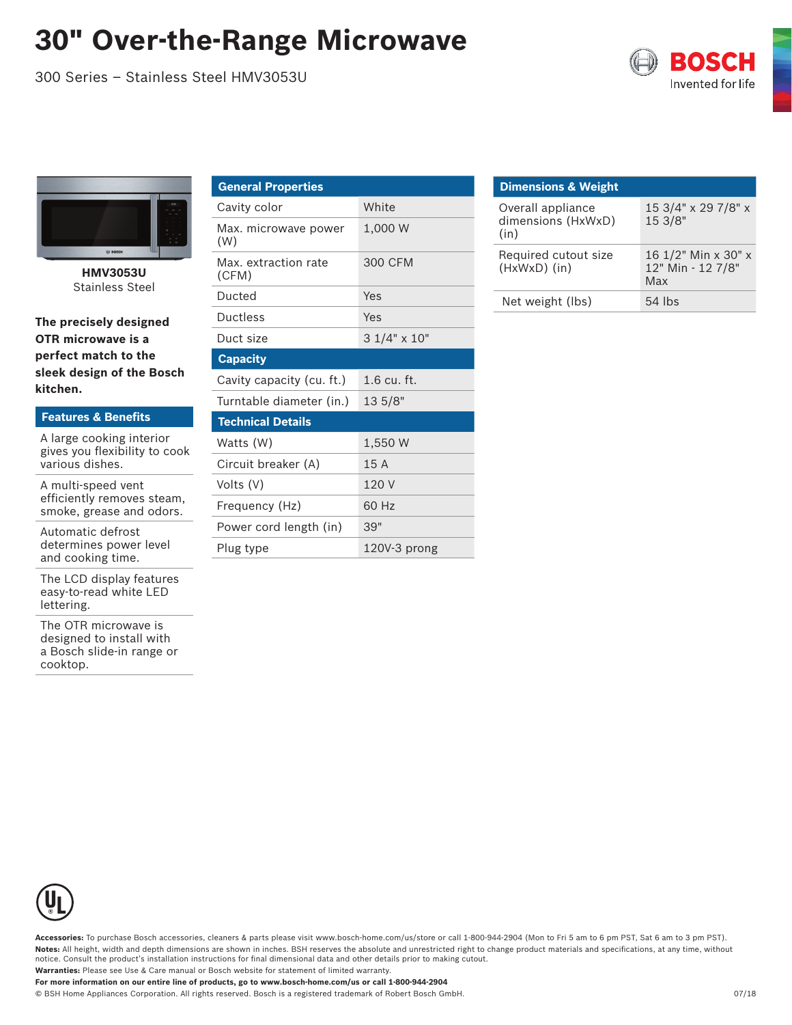## **30" Over-the-Range Microwave**

300 Series – Stainless Steel HMV3053U





**HMV3053U** Stainless Steel

**The precisely designed OTR microwave is a perfect match to the sleek design of the Bosch kitchen.**

| <b>Features &amp; Benefits</b>                            |
|-----------------------------------------------------------|
| A large cooking interior<br>gives you flexibility to cook |
| various dishes.                                           |

A multi-speed vent efficiently removes steam, smoke, grease and odors.

Automatic defrost determines power level and cooking time.

The LCD display features easy-to-read white LED lettering.

The OTR microwave is designed to install with a Bosch slide-in range or cooktop.

| <b>General Properties</b>     |                    |  |
|-------------------------------|--------------------|--|
| Cavity color                  | White              |  |
| Max. microwave power<br>(W)   | 1,000 W            |  |
| Max. extraction rate<br>(CFM) | 300 CFM            |  |
| Ducted                        | Yes                |  |
| Ductless                      | Yes                |  |
| Duct size                     | $31/4" \times 10"$ |  |
| <b>Capacity</b>               |                    |  |
| Cavity capacity (cu. ft.)     | $1.6$ cu. ft.      |  |
| Turntable diameter (in.)      | 135/8"             |  |
| <b>Technical Details</b>      |                    |  |
| Watts (W)                     | 1.550 W            |  |
| Circuit breaker (A)           | 15A                |  |
| Volts (V)                     | 120V               |  |
|                               |                    |  |
| Frequency (Hz)                | 60 Hz              |  |
| Power cord length (in)        | 39"                |  |

| <b>Dimensions &amp; Weight</b>                  |                                                 |
|-------------------------------------------------|-------------------------------------------------|
| Overall appliance<br>dimensions (HxWxD)<br>(in) | 15 3/4" x 29 7/8" x<br>15 3/8"                  |
| Required cutout size<br>(HxWxD) (in)            | 16 1/2" Min x 30" x<br>12" Min - 12 7/8"<br>Max |
| Net weight (lbs)                                | $54$ lbs                                        |



**Accessories:** To purchase Bosch accessories, cleaners & parts please visit www.bosch-home.com/us/store or call 1-800-944-2904 (Mon to Fri 5 am to 6 pm PST, Sat 6 am to 3 pm PST). **Notes:** All height, width and depth dimensions are shown in inches. BSH reserves the absolute and unrestricted right to change product materials and specifications, at any time, without notice. Consult the product's installation instructions for final dimensional data and other details prior to making cutout. **Warranties:** Please see Use & Care manual or Bosch website for statement of limited warranty.

**For more information on our entire line of products, go to www.bosch-home.com/us or call 1-800-944-2904**

© BSH Home Appliances Corporation. All rights reserved. Bosch is a registered trademark of Robert Bosch GmbH. 07/18